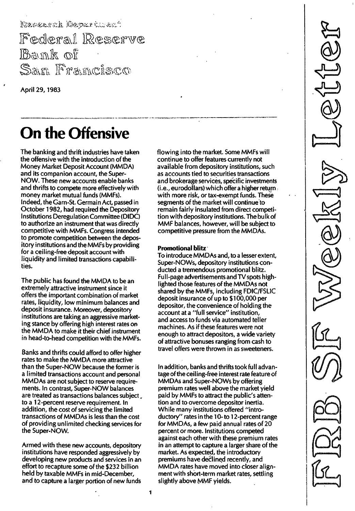Research Department Federal Reserve Bank of San Francisco

April 29, 1983

# On the Offensive

The banking and thrift industries have taken the offensive with the introduction of the Money Market Deposit Account (MMDA) and its companion account, the 5uper-NOW. These new accounts enable banks and thrifts to compete more effectively with money market mutual funds (MMFs). Indeed, the Gam-51. Germain Act, passed in October 1982, had required the Depository Institutions Deregulation Committee (DIDC) to authorize an instrument that was directly competitive with MMFs. Congress intended to promote competition between the depository institutions and the MMFs by providing for a ceiling-free deposit account with liquidity and limited transactions capabilities.

The public has found the MMDA to be an extremely attractive instrument since it offers the important combination of market rates, liquidity, low minimum balances and deposit insurance. Moreover, depository institutions are taking an aggressive marketing stance by offering high interest rates on the MMDA to make it their chief instrument in head-to-head competition with the MMFs.

Banks and thrifts could afford to offer higher rates to make the MMDA more attractive than the Super-NOW because the former is a limited transactions account and personal MMDAs are not subject to reserve requirements. In contrast, Super-NOW balances are treated as transactions balances subject to a 12-percent reserve requirement. In addition, the cost of servicing the limited transactions of MMDAs is less than the cost of providing unlimited checking services for the Super-NOW.

Armed with these new accounts, depository institutions have responded aggressively by developing new products and services in an effort to recapture some of the \$232 billion held by taxable MMFs in mid-December, and to capture a larger portion of new funds

flowing into the market. Some MMFs will continue to offer features currently not available from depository institutions, such as accounts tied to securities transactions and brokerage services, specific investments (i.e., eurodollars) which offer a higher return. with more risk, or tax-exempt funds. These segments of the market will continue to remain fairly insulated from direct competition with depository institutions. The bu Ik of MMF balances, however, will be subject to competitive pressure from the MMDAs.

#### Promotional blitz

To introduce MMDAs and, to a lesser extent, Super-NOWs, depository institutions conducted a tremendous promotional blitz. Full-page advertisements and TV spots highlighted those features of the MMDAs not shared by the MMFs, including FDIC/FSLIC deposit insurance of up to \$100,000 per depositor, the convenience of holding the account at a "full service" institution, and access to funds via automated teller machines. As if these features were not enough to attract depositors, a wide variety of attractive bonuses ranging from cash to travel offers were thrown in as sweeteners.

In addition, banks and thrifts took full advantageof the ceiling-free interest rate feature of MMDAs and Super-NOWs by offering premium rates well above the market yield paid by MMFs to attract the public's attention and to overcome depositor inertia. While many institutions offered "introductory" rates in the 10- to 12-percent range for MMDAs, a few paid annual rates of 20 percent or more. Institutions competed against each other with these premium rates in an attempt to capture a larger share of the market. As expected, the introductory premiums have declined recently, and MMDA rates have moved into closer alignment with short-term market rates, settling slightly above MMF yields.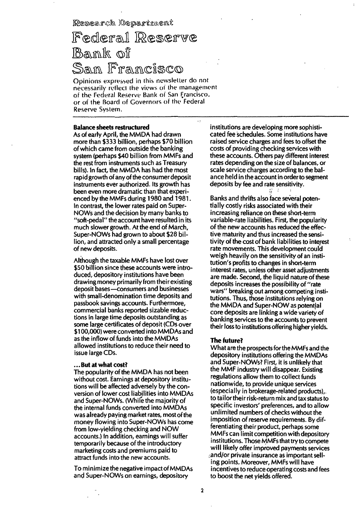Research Department

# Federal Reserve Bank of Sam Francisco

Opinions expressed in this newsletter do not necessarily reflect the views of the management of the Federal Reserve Bank of San Francisco. or of the Board of Governors of the Federal Reserve System.

## **Balance sheets restructured**

As of early April, the MMDA had drawn more than \$333 billion, perhaps \$70 billion of which came from outside the banking system (perhaps \$40 billion from MMFs and the rest from instruments such as Treasury bills). In fact, the MMDA has had the most rapid growth of any of the consumer deposit instruments ever authorized. Its growth has been even more dramatic than that experienced by the MMFs during 1980 and 1981. In contrast, the lower rates paid on Super-NOWs and the decision by many banks to "soft-pedal" the account have resulted in its much slower growth. At the end of March, Super-NOWs had grown to about \$28 billion, and attracted only a small percentage of new deposits.

Although the taxable MMFs have lost over \$50 billion since these accounts were introduced, depository institutions have been drawing money primarily from their existing deposit bases - consumers and businesses with small-denomination time deposits and passbook savings accounts. Furthermore, commercial banks reported sizable reductions in large time deposits outstanding as some large certificates of deposit (CDs over \$100,000) were converted into MMDAs and as the inflow of funds into the MMDAs allowed institutions to reduce their need to issue large CDs.

## ...But at what cost?

The popularity of the MMDA has not been without cost. Earnings at depository institutions will be affected adversely by the conversion of lower cost liabilities into MMDAs and Super-NOWs. (While the majority of the internal funds converted into MMDAs was already paying market rates, most of the money flowing into Super-NOWs has come from low-vielding checking and NOW accounts.) In addition, earnings will suffer temporarily because of the introductory marketing costs and premiums paid to attract funds into the new accounts.

To minimize the negative impact of MMDAs and Super-NOWs on earnings, depository

institutions are developing more sophisticated fee schedules. Some institutions have raised service charges and fees to offset the costs of providing checking services with these accounts. Others pay different interest rates depending on the size of balances, or scale service charges according to the balance held in the account in order to segment deposits by fee and rate sensitivity.

ξ.

Banks and thrifts also face several potentially costly risks associated with their increasing reliance on these short-term variable-rate liabilities. First, the popularity of the new accounts has reduced the effective maturity and thus increased the sensitivity of the cost of bank liabilities to interest rate movements. This development could weigh heavily on the sensitivity of an institution's profits to changes in short-term interest rates, unless other asset adjustments are made. Second, the liquid nature of these deposits increases the possibility of "rate wars" breaking out among competing institutions. Thus, those institutions relying on the MMDA and Super-NOW as potential core deposits are linking a wide variety of banking services to the accounts to prevent their loss to institutions offering higher yields.

#### **The future?**

What are the prospects for the MMFs and the depository institutions offering the MMDAs and Super-NOWs? First, it is unlikely that the MMF industry will disappear. Existing regulations allow them to collect funds nationwide, to provide unique services (especially in brokerage-related products). to tailor their risk-return mix and tax status to specific investors' preferences, and to allow unlimited numbers of checks without the imposition of reserve requirements. By differentiating their product, perhaps some MMFs can limit competition with depository institutions. Those MMFs that try to compete will likely offer improved payments services and/or private insurance as important selling points. Moreover, MMFs will have incentives to reduce operating costs and fees to boost the net yields offered.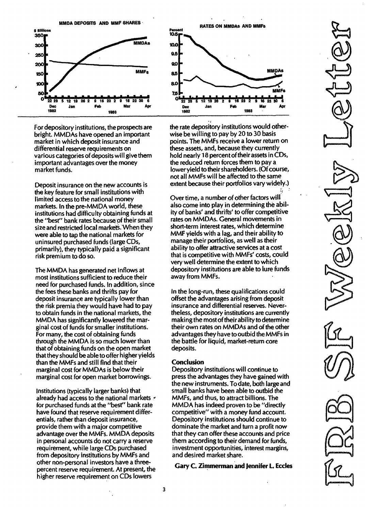MMDA DEPOSITS AND MMF SHARES



For depository institutions, the prospects are bright. MMDAs have opened an important market in which deposit insurance and differential reserve requirements on various categories of deposits will give them important advantages over the money market funds.

Deposit insurance on the new accounts is the key feature for small institutions with limited access to the national money markets. In the pre-MMDA world, these institutions had difficulty obtaining funds at the "best" bank rates because of their small size and restricted local markets. When they were able to tap the national markets for uninsured purchased funds (large CDs, primarily), they typically paid a significant risk premium to do so.

The MMDA has generated net inflows at most institutions sufficient to reduce their need for purchased funds. In addition, since the fees these banks and thrifts pay for deposit insurance are typically lower than the risk premia they would have had to pay to obtain funds in the national markets, the MMDA has significantly lowered the marginal cost of funds for smaller institutions. For many, the cost of obtaining funds through the MMDA is so much lower than that of obtaining funds on the open market that they should be able to offer higher yields than the MMFs and still find that their marginal cost for MMDAs is below their marginal cost for open market borrowings.

Institutions (typically larger banks) that already had access to the national markets  $\epsilon$ for purchased funds at the "best" bank rate have found that reserve requirement differentials, rather than deposit insurance, provide them with a major competitive advantage over the MMFs. MMDA deposits in personal accounts do not carry a reserve requirement, while large CDs purchased from depository institutions by MMFs and other non-personal investors have a threepercent reserve requirement. At present, the higher reserve requirement on CDs lowers



the rate depository institutions would otherwise be willing to pay by 20 to 30 basis points. The MMFs receive a lower return on these assets, and, because they currently hold nearly 18 percent of their assets in CDs, the reduced return forces them to pay a lower yield to their shareholders. (Of course, not all MMFs will be affected to the same extent because their portfolios vary widely.)

Over time, a number of other factors will also come into play in determining the ability of banks' and thrifts' to offer competitive rates on MMDAs. General movements in short-term interest rates, which determine MMF yields with a lag, and their ability to manage their portfolios, as well as their ability to offer attractive services at a cost that is competitive with MMFs' costs, could very well determine the extent to which depository institutions are able to lure funds away from MMFs.

In the long-run, these qualifications could offset the advantages arising from deposit insurance and differential reserves. Nevertheless, depository institutions are currently making the most of their ability todetermine their own rates on MMDAs and of the other advantages they have to outbid the MMFs in the battle for liquid, market-return core deposits.

#### **Conclusion**

Depository institutions will continue to press the advantages they have gained with the new instruments. To date, both large and small banks have been able to outbid the MMFs, and thus, to attract billions. The MMDA has indeed proven to be "directly competitive" with a money fund account. Depository institutions should continue to dominate the market and turn a profit now that they can offer these accounts and price them according to their demand for funds, investment opportunities, interest margins, and desired market share.

Gary C. Zimmerman and Jennifer l. Eccles